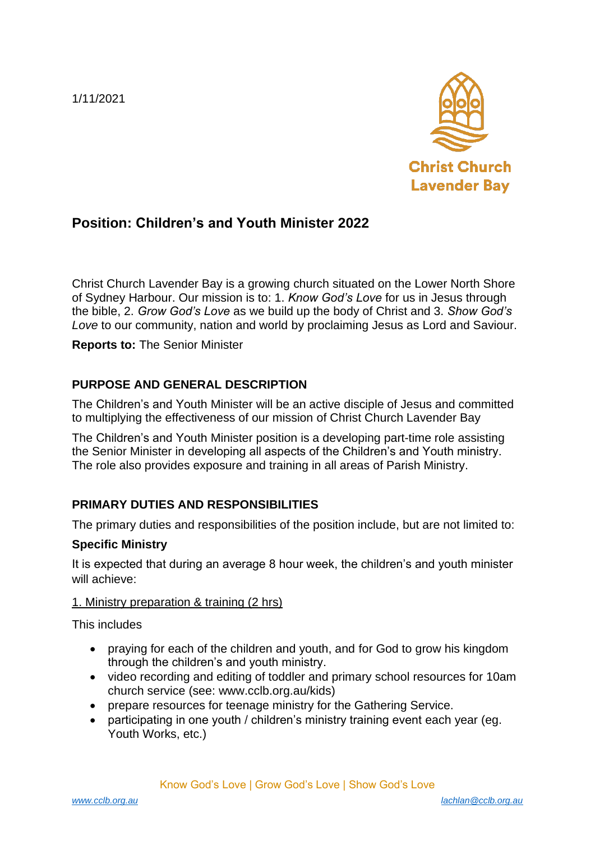1/11/2021



# **Position: Children's and Youth Minister 2022**

Christ Church Lavender Bay is a growing church situated on the Lower North Shore of Sydney Harbour. Our mission is to: 1. *Know God's Love* for us in Jesus through the bible, 2. *Grow God's Love* as we build up the body of Christ and 3. *Show God's Love* to our community, nation and world by proclaiming Jesus as Lord and Saviour.

**Reports to:** The Senior Minister

# **PURPOSE AND GENERAL DESCRIPTION**

The Children's and Youth Minister will be an active disciple of Jesus and committed to multiplying the effectiveness of our mission of Christ Church Lavender Bay

The Children's and Youth Minister position is a developing part-time role assisting the Senior Minister in developing all aspects of the Children's and Youth ministry. The role also provides exposure and training in all areas of Parish Ministry.

# **PRIMARY DUTIES AND RESPONSIBILITIES**

The primary duties and responsibilities of the position include, but are not limited to:

#### **Specific Ministry**

It is expected that during an average 8 hour week, the children's and youth minister will achieve:

#### 1. Ministry preparation & training (2 hrs)

This includes

- praying for each of the children and youth, and for God to grow his kingdom through the children's and youth ministry.
- video recording and editing of toddler and primary school resources for 10am church service (see: www.cclb.org.au/kids)
- prepare resources for teenage ministry for the Gathering Service.
- participating in one youth / children's ministry training event each year (eg. Youth Works, etc.)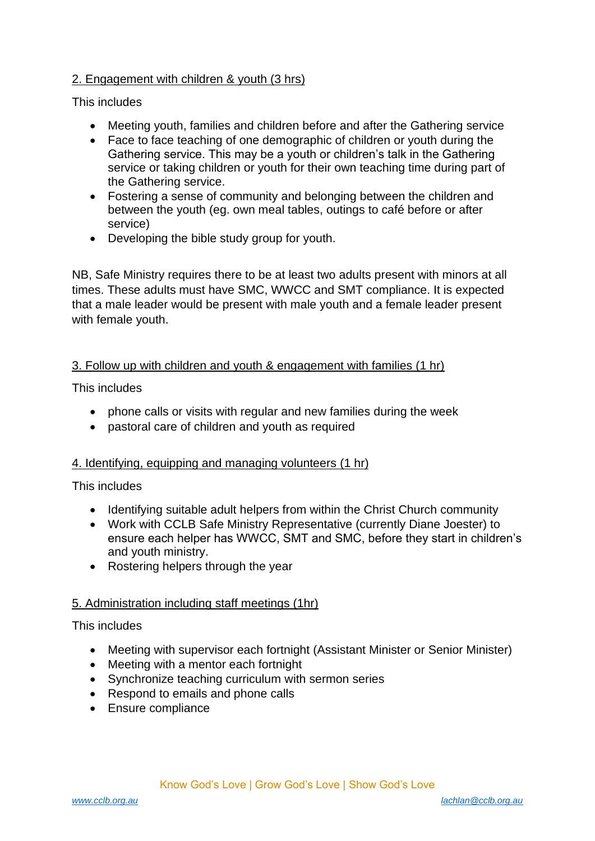## 2. Engagement with children & youth (3 hrs)

This includes

- Meeting youth, families and children before and after the Gathering service
- Face to face teaching of one demographic of children or youth during the Gathering service. This may be a youth or children's talk in the Gathering service or taking children or youth for their own teaching time during part of the Gathering service.
- Fostering a sense of community and belonging between the children and between the youth (eg. own meal tables, outings to café before or after service)
- Developing the bible study group for youth.

NB, Safe Ministry requires there to be at least two adults present with minors at all times. These adults must have SMC, WWCC and SMT compliance. It is expected that a male leader would be present with male youth and a female leader present with female youth.

## 3. Follow up with children and youth & engagement with families (1 hr)

This includes

- phone calls or visits with regular and new families during the week
- pastoral care of children and youth as required

#### 4. Identifying, equipping and managing volunteers (1 hr)

This includes

- Identifying suitable adult helpers from within the Christ Church community
- Work with CCLB Safe Ministry Representative (currently Diane Joester) to ensure each helper has WWCC, SMT and SMC, before they start in children's and youth ministry.
- Rostering helpers through the year

#### 5. Administration including staff meetings (1hr)

#### This includes

- Meeting with supervisor each fortnight (Assistant Minister or Senior Minister)
- Meeting with a mentor each fortnight
- Synchronize teaching curriculum with sermon series
- Respond to emails and phone calls
- Ensure compliance